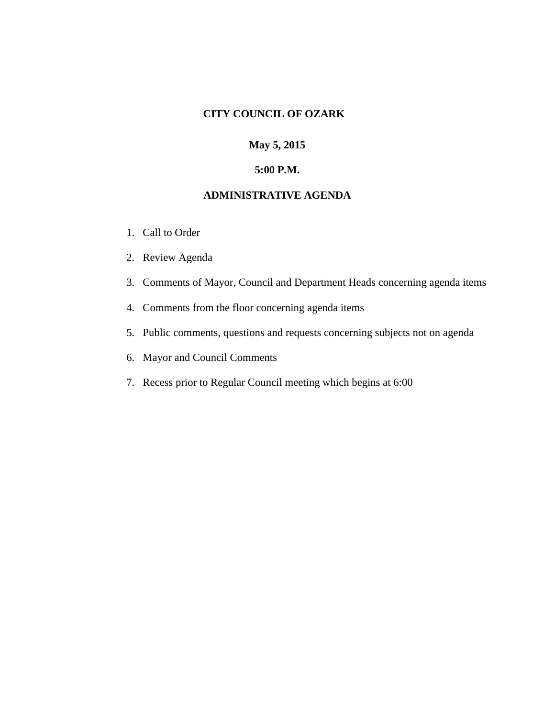### **CITY COUNCIL OF OZARK**

# **May 5, 2015**

## **5:00 P.M.**

## **ADMINISTRATIVE AGENDA**

- 1. Call to Order
- 2. Review Agenda
- 3. Comments of Mayor, Council and Department Heads concerning agenda items
- 4. Comments from the floor concerning agenda items
- 5. Public comments, questions and requests concerning subjects not on agenda
- 6. Mayor and Council Comments
- 7. Recess prior to Regular Council meeting which begins at 6:00